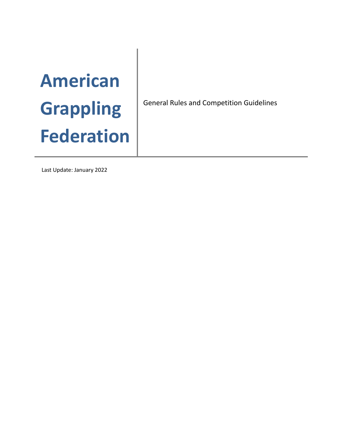# **American Grappling Federation**

General Rules and Competition Guidelines

Last Update: January 2022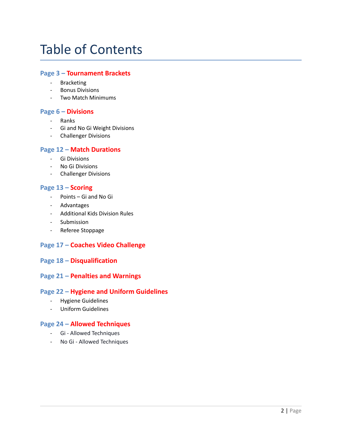### Table of Contents

#### **Page 3 – Tournament Brackets**

- Bracketing
- Bonus Divisions
- Two Match Minimums

#### **Page 6 – Divisions**

- Ranks
- Gi and No Gi Weight Divisions
- Challenger Divisions

#### **Page 12 – Match Durations**

- Gi Divisions
- No Gi Divisions
- Challenger Divisions

#### **Page 13 – Scoring**

- Points Gi and No Gi
- Advantages
- Additional Kids Division Rules
- Submission
- Referee Stoppage

#### **Page 17 – Coaches Video Challenge**

#### **Page 18 – Disqualification**

#### **Page 21 – Penalties and Warnings**

#### **Page 22 – Hygiene and Uniform Guidelines**

- Hygiene Guidelines
- Uniform Guidelines

#### **Page 24 – Allowed Techniques**

- Gi Allowed Techniques
- No Gi Allowed Techniques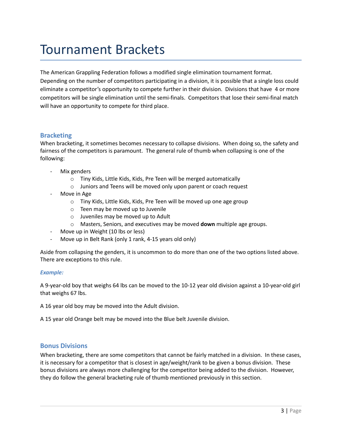### Tournament Brackets

The American Grappling Federation follows a modified single elimination tournament format. Depending on the number of competitors participating in a division, it is possible that a single loss could eliminate a competitor's opportunity to compete further in their division. Divisions that have 4 or more competitors will be single elimination until the semi-finals. Competitors that lose their semi-final match will have an opportunity to compete for third place.

#### **Bracketing**

When bracketing, it sometimes becomes necessary to collapse divisions. When doing so, the safety and fairness of the competitors is paramount. The general rule of thumb when collapsing is one of the following:

- Mix genders
	- o Tiny Kids, Little Kids, Kids, Pre Teen will be merged automatically
	- o Juniors and Teens will be moved only upon parent or coach request
- Move in Age
	- o Tiny Kids, Little Kids, Kids, Pre Teen will be moved up one age group
	- o Teen may be moved up to Juvenile
	- o Juveniles may be moved up to Adult
	- o Masters, Seniors, and executives may be moved **down** multiple age groups.
- Move up in Weight (10 lbs or less)
- Move up in Belt Rank (only 1 rank, 4-15 years old only)

Aside from collapsing the genders, it is uncommon to do more than one of the two options listed above. There are exceptions to this rule.

#### *Example:*

A 9-year-old boy that weighs 64 lbs can be moved to the 10-12 year old division against a 10-year-old girl that weighs 67 lbs.

A 16 year old boy may be moved into the Adult division.

A 15 year old Orange belt may be moved into the Blue belt Juvenile division.

#### **Bonus Divisions**

When bracketing, there are some competitors that cannot be fairly matched in a division. In these cases, it is necessary for a competitor that is closest in age/weight/rank to be given a bonus division. These bonus divisions are always more challenging for the competitor being added to the division. However, they do follow the general bracketing rule of thumb mentioned previously in this section.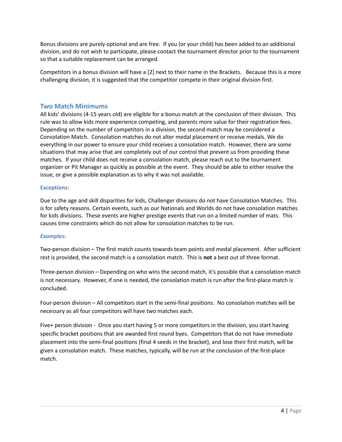Bonus divisions are purely optional and are free. If you (or your child) has been added to an additional division, and do not wish to participate, please contact the tournament director prior to the tournament so that a suitable replacement can be arranged.

Competitors in a bonus division will have a [2] next to their name in the Brackets. Because this is a more challenging division, it is suggested that the competitor compete in their original division first.

#### **Two Match Minimums**

All kids' divisions (4-15 years old) are eligible for a bonus match at the conclusion of their division. This rule was to allow kids more experience competing, and parents more value for their registration fees. Depending on the number of competitors in a division, the second match may be considered a Consolation Match. Consolation matches do not alter medal placement or receive medals. We do everything in our power to ensure your child receives a consolation match. However, there are some situations that may arise that are completely out of our control that prevent us from providing these matches. If your child does not receive a consolation match, please reach out to the tournament organizer or Pit Manager as quickly as possible at the event. They should be able to either resolve the issue, or give a possible explanation as to why it was not available.

#### **Exceptions:**

Due to the age and skill disparities for kids, Challenger divisions do not have Consolation Matches. This is for safety reasons. Certain events, such as our Nationals and Worlds do not have consolation matches for kids divisions. These events are higher prestige events that run on a limited number of mats. This causes time constraints which do not allow for consolation matches to be run.

#### *Examples:*

Two-person division – The first match counts towards team points and medal placement. After sufficient rest is provided, the second match is a consolation match. This is **not** a best out of three format.

Three-person division – Depending on who wins the second match, it's possible that a consolation match is not necessary. However, if one is needed, the consolation match is run after the first-place match is concluded.

Four-person division – All competitors start in the semi-final positions. No consolation matches will be necessary as all four competitors will have two matches each.

Five+ person division - Once you start having 5 or more competitors in the division, you start having specific bracket positions that are awarded first round byes. Competitors that do not have immediate placement into the semi-final positions (final 4 seeds in the bracket), and lose their first match, will be given a consolation match. These matches, typically, will be run at the conclusion of the first-place match.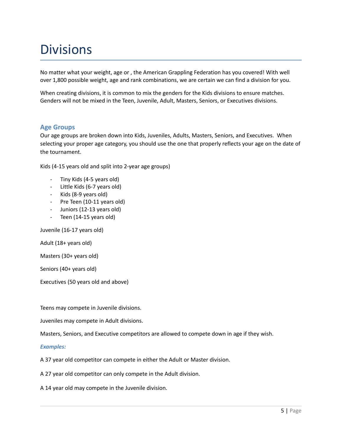### Divisions

No matter what your weight, age or , the American Grappling Federation has you covered! With well over 1,800 possible weight, age and rank combinations, we are certain we can find a division for you.

When creating divisions, it is common to mix the genders for the Kids divisions to ensure matches. Genders will not be mixed in the Teen, Juvenile, Adult, Masters, Seniors, or Executives divisions.

#### **Age Groups**

Our age groups are broken down into Kids, Juveniles, Adults, Masters, Seniors, and Executives. When selecting your proper age category, you should use the one that properly reflects your age on the date of the tournament.

Kids (4-15 years old and split into 2-year age groups)

- Tiny Kids (4-5 years old)
- Little Kids (6-7 years old)
- Kids (8-9 years old)
- Pre Teen (10-11 years old)
- Juniors (12-13 years old)
- Teen (14-15 years old)

Juvenile (16-17 years old)

Adult (18+ years old)

Masters (30+ years old)

Seniors (40+ years old)

Executives (50 years old and above)

Teens may compete in Juvenile divisions.

Juveniles may compete in Adult divisions.

Masters, Seniors, and Executive competitors are allowed to compete down in age if they wish.

#### *Examples:*

A 37 year old competitor can compete in either the Adult or Master division.

A 27 year old competitor can only compete in the Adult division.

A 14 year old may compete in the Juvenile division.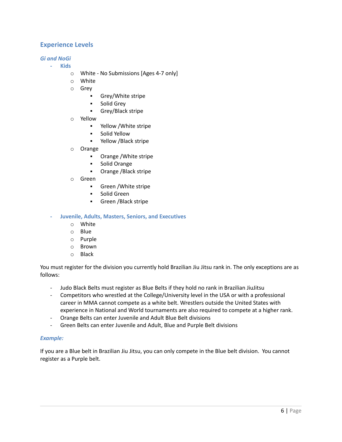#### **Experience Levels**

#### *Gi and NoGi*

- **- Kids**
	- o White No Submissions [Ages 4-7 only]
	- o White
	- o Grey
		- Grey/White stripe
		- Solid Grey
		- Grey/Black stripe
	- o Yellow
		- Yellow /White stripe
		- Solid Yellow
		- Yellow /Black stripe
	- o Orange
		- Orange /White stripe
		- Solid Orange
		- Orange /Black stripe
	- o Green
		- Green /White stripe
		- Solid Green
		- Green /Black stripe

#### **- Juvenile, Adults, Masters, Seniors, and Executives**

- o White
- o Blue
- o Purple
- o Brown
- o Black

You must register for the division you currently hold Brazilian Jiu Jitsu rank in. The only exceptions are as follows:

- Judo Black Belts must register as Blue Belts if they hold no rank in Brazilian JiuJitsu
- Competitors who wrestled at the College/University level in the USA or with a professional career in MMA cannot compete as a white belt. Wrestlers outside the United States with experience in National and World tournaments are also required to compete at a higher rank.
- Orange Belts can enter Juvenile and Adult Blue Belt divisions
- Green Belts can enter Juvenile and Adult, Blue and Purple Belt divisions

#### *Example:*

If you are a Blue belt in Brazilian Jiu Jitsu, you can only compete in the Blue belt division. You cannot register as a Purple belt.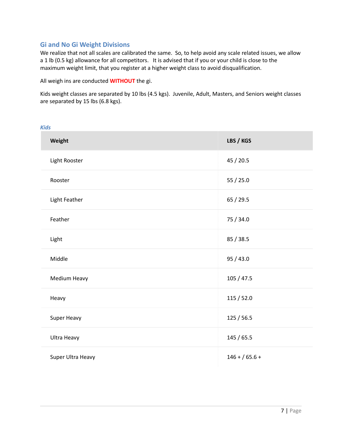#### **Gi and No Gi Weight Divisions**

We realize that not all scales are calibrated the same. So, to help avoid any scale related issues, we allow a 1 lb (0.5 kg) allowance for all competitors. It is advised that if you or your child is close to the maximum weight limit, that you register at a higher weight class to avoid disqualification.

All weigh ins are conducted **WITHOUT** the gi.

Kids weight classes are separated by 10 lbs (4.5 kgs). Juvenile, Adult, Masters, and Seniors weight classes are separated by 15 lbs (6.8 kgs).

| <b>Kids</b>       |                |
|-------------------|----------------|
| Weight            | LBS / KGS      |
| Light Rooster     | 45 / 20.5      |
| Rooster           | 55 / 25.0      |
| Light Feather     | 65 / 29.5      |
| Feather           | 75 / 34.0      |
| Light             | 85 / 38.5      |
| Middle            | 95 / 43.0      |
| Medium Heavy      | 105 / 47.5     |
| Heavy             | 115 / 52.0     |
| Super Heavy       | 125 / 56.5     |
| Ultra Heavy       | 145 / 65.5     |
| Super Ultra Heavy | $146 + 65.6 +$ |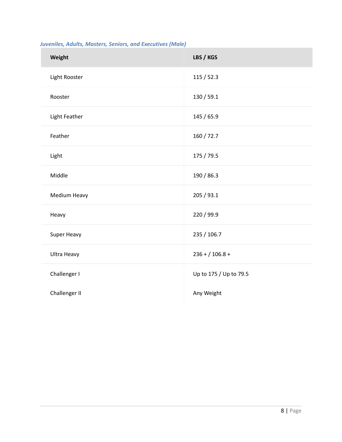| Weight        | LBS / KGS              |
|---------------|------------------------|
| Light Rooster | 115 / 52.3             |
| Rooster       | 130 / 59.1             |
| Light Feather | 145 / 65.9             |
| Feather       | 160 / 72.7             |
| Light         | 175 / 79.5             |
| Middle        | 190 / 86.3             |
| Medium Heavy  | 205 / 93.1             |
| Heavy         | 220 / 99.9             |
| Super Heavy   | 235 / 106.7            |
| Ultra Heavy   | $236 + 106.8 +$        |
| Challenger I  | Up to 175 / Up to 79.5 |
| Challenger II | Any Weight             |

#### *Juveniles, Adults, Masters, Seniors, and Executives (Male)*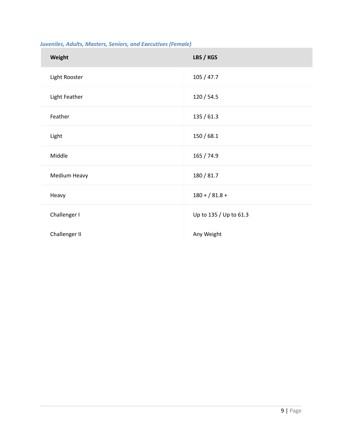| Weight        | LBS / KGS              |
|---------------|------------------------|
| Light Rooster | 105 / 47.7             |
| Light Feather | 120 / 54.5             |
| Feather       | 135 / 61.3             |
| Light         | 150/68.1               |
| Middle        | 165 / 74.9             |
| Medium Heavy  | 180 / 81.7             |
| Heavy         | $180 + / 81.8 +$       |
| Challenger I  | Up to 135 / Up to 61.3 |
| Challenger II | Any Weight             |

#### *Juveniles, Adults, Masters, Seniors, and Executives (Female)*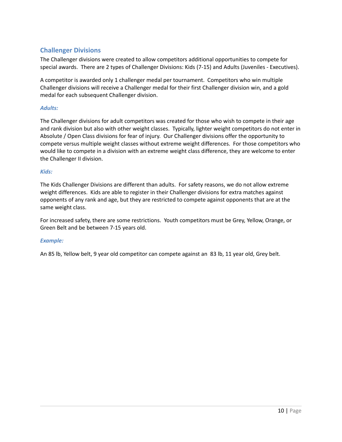#### **Challenger Divisions**

The Challenger divisions were created to allow competitors additional opportunities to compete for special awards. There are 2 types of Challenger Divisions: Kids (7-15) and Adults (Juveniles - Executives).

A competitor is awarded only 1 challenger medal per tournament. Competitors who win multiple Challenger divisions will receive a Challenger medal for their first Challenger division win, and a gold medal for each subsequent Challenger division.

#### *Adults:*

The Challenger divisions for adult competitors was created for those who wish to compete in their age and rank division but also with other weight classes. Typically, lighter weight competitors do not enter in Absolute / Open Class divisions for fear of injury. Our Challenger divisions offer the opportunity to compete versus multiple weight classes without extreme weight differences. For those competitors who would like to compete in a division with an extreme weight class difference, they are welcome to enter the Challenger II division.

#### *Kids:*

The Kids Challenger Divisions are different than adults. For safety reasons, we do not allow extreme weight differences. Kids are able to register in their Challenger divisions for extra matches against opponents of any rank and age, but they are restricted to compete against opponents that are at the same weight class.

For increased safety, there are some restrictions. Youth competitors must be Grey, Yellow, Orange, or Green Belt and be between 7-15 years old.

#### *Example:*

An 85 lb, Yellow belt, 9 year old competitor can compete against an 83 lb, 11 year old, Grey belt.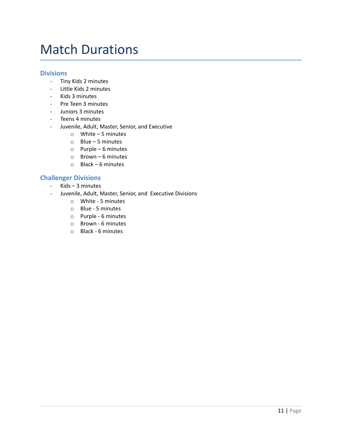### Match Durations

#### **Divisions**

- Tiny Kids 2 minutes
- Little Kids 2 minutes
- Kids 3 minutes
- Pre Teen 3 minutes
- Juniors 3 minutes
- Teens 4 minutes
- Juvenile, Adult, Master, Senior, and Executive
	- o White 5 minutes
	- o Blue 5 minutes
	- o Purple 6 minutes
	- o Brown 6 minutes
	- o Black 6 minutes

#### **Challenger Divisions**

- Kids 3 minutes
- Juvenile, Adult, Master, Senior, and Executive Divisions
	- o White 5 minutes
	- o Blue 5 minutes
	- o Purple 6 minutes
	- o Brown 6 minutes
	- o Black 6 minutes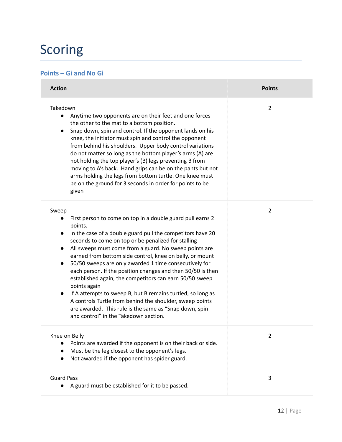### Scoring

#### **Points – Gi and No Gi**

| <b>Action</b>                                                                                                                                                                                                                                                                                                                                                                                                                                                                                                                                                                                                                                                                                                                                                                                                                | <b>Points</b>  |
|------------------------------------------------------------------------------------------------------------------------------------------------------------------------------------------------------------------------------------------------------------------------------------------------------------------------------------------------------------------------------------------------------------------------------------------------------------------------------------------------------------------------------------------------------------------------------------------------------------------------------------------------------------------------------------------------------------------------------------------------------------------------------------------------------------------------------|----------------|
| Takedown<br>Anytime two opponents are on their feet and one forces<br>$\bullet$<br>the other to the mat to a bottom position.<br>Snap down, spin and control. If the opponent lands on his<br>$\bullet$<br>knee, the initiator must spin and control the opponent<br>from behind his shoulders. Upper body control variations<br>do not matter so long as the bottom player's arms (A) are<br>not holding the top player's (B) legs preventing B from<br>moving to A's back. Hand grips can be on the pants but not<br>arms holding the legs from bottom turtle. One knee must<br>be on the ground for 3 seconds in order for points to be<br>given                                                                                                                                                                          | 2              |
| Sweep<br>First person to come on top in a double guard pull earns 2<br>$\bullet$<br>points.<br>In the case of a double guard pull the competitors have 20<br>$\bullet$<br>seconds to come on top or be penalized for stalling<br>All sweeps must come from a guard. No sweep points are<br>$\bullet$<br>earned from bottom side control, knee on belly, or mount<br>50/50 sweeps are only awarded 1 time consecutively for<br>$\bullet$<br>each person. If the position changes and then 50/50 is then<br>established again, the competitors can earn 50/50 sweep<br>points again<br>If A attempts to sweep B, but B remains turtled, so long as<br>$\bullet$<br>A controls Turtle from behind the shoulder, sweep points<br>are awarded. This rule is the same as "Snap down, spin<br>and control" in the Takedown section. | $\overline{2}$ |
| Knee on Belly<br>Points are awarded if the opponent is on their back or side.<br>Must be the leg closest to the opponent's legs.<br>$\bullet$<br>Not awarded if the opponent has spider guard.                                                                                                                                                                                                                                                                                                                                                                                                                                                                                                                                                                                                                               | 2              |
| <b>Guard Pass</b><br>A guard must be established for it to be passed.<br>$\bullet$                                                                                                                                                                                                                                                                                                                                                                                                                                                                                                                                                                                                                                                                                                                                           | 3              |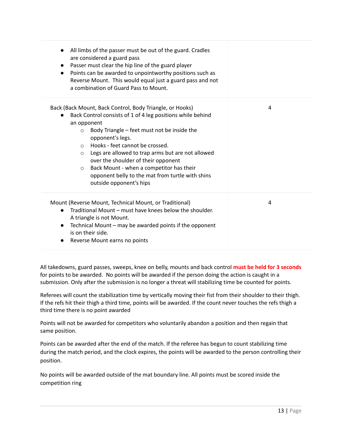| All limbs of the passer must be out of the guard. Cradles<br>are considered a guard pass<br>Passer must clear the hip line of the guard player<br>Points can be awarded to unpointworthy positions such as<br>$\bullet$<br>Reverse Mount. This would equal just a guard pass and not<br>a combination of Guard Pass to Mount.                                                                                                                                                                         |   |
|-------------------------------------------------------------------------------------------------------------------------------------------------------------------------------------------------------------------------------------------------------------------------------------------------------------------------------------------------------------------------------------------------------------------------------------------------------------------------------------------------------|---|
| Back (Back Mount, Back Control, Body Triangle, or Hooks)<br>Back Control consists of 1 of 4 leg positions while behind<br>an opponent<br>Body Triangle – feet must not be inside the<br>$\circ$<br>opponent's legs.<br>o Hooks - feet cannot be crossed.<br>Legs are allowed to trap arms but are not allowed<br>$\circ$<br>over the shoulder of their opponent<br>Back Mount - when a competitor has their<br>$\circ$<br>opponent belly to the mat from turtle with shins<br>outside opponent's hips | 4 |
| Mount (Reverse Mount, Technical Mount, or Traditional)<br>Traditional Mount – must have knees below the shoulder.<br>$\bullet$<br>A triangle is not Mount.<br>Technical Mount – may be awarded points if the opponent<br>is on their side.<br>Reverse Mount earns no points                                                                                                                                                                                                                           | 4 |

All takedowns, guard passes, sweeps, knee on belly, mounts and back control **must be held for 3 seconds** for points to be awarded. No points will be awarded if the person doing the action is caught in a submission. Only after the submission is no longer a threat will stabilizing time be counted for points.

Referees will count the stabilization time by vertically moving their fist from their shoulder to their thigh. If the refs hit their thigh a third time, points will be awarded. If the count never touches the refs thigh a third time there is no point awarded

Points will not be awarded for competitors who voluntarily abandon a position and then regain that same position.

Points can be awarded after the end of the match. If the referee has begun to count stabilizing time during the match period, and the clock expires, the points will be awarded to the person controlling their position.

No points will be awarded outside of the mat boundary line. All points must be scored inside the competition ring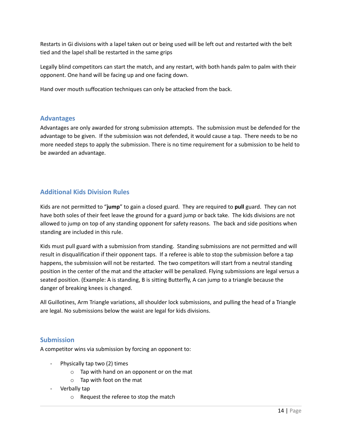Restarts in Gi divisions with a lapel taken out or being used will be left out and restarted with the belt tied and the lapel shall be restarted in the same grips

Legally blind competitors can start the match, and any restart, with both hands palm to palm with their opponent. One hand will be facing up and one facing down.

Hand over mouth suffocation techniques can only be attacked from the back.

#### **Advantages**

Advantages are only awarded for strong submission attempts. The submission must be defended for the advantage to be given. If the submission was not defended, it would cause a tap. There needs to be no more needed steps to apply the submission. There is no time requirement for a submission to be held to be awarded an advantage.

#### **Additional Kids Division Rules**

Kids are not permitted to "**jump**" to gain a closed guard. They are required to **pull** guard. They can not have both soles of their feet leave the ground for a guard jump or back take. The kids divisions are not allowed to jump on top of any standing opponent for safety reasons. The back and side positions when standing are included in this rule.

Kids must pull guard with a submission from standing. Standing submissions are not permitted and will result in disqualification if their opponent taps. If a referee is able to stop the submission before a tap happens, the submission will not be restarted. The two competitors will start from a neutral standing position in the center of the mat and the attacker will be penalized. Flying submissions are legal versus a seated position. (Example: A is standing, B is sitting Butterfly, A can jump to a triangle because the danger of breaking knees is changed.

All Guillotines, Arm Triangle variations, all shoulder lock submissions, and pulling the head of a Triangle are legal. No submissions below the waist are legal for kids divisions.

#### **Submission**

A competitor wins via submission by forcing an opponent to:

- Physically tap two (2) times
	- o Tap with hand on an opponent or on the mat
	- o Tap with foot on the mat
- Verbally tap
	- o Request the referee to stop the match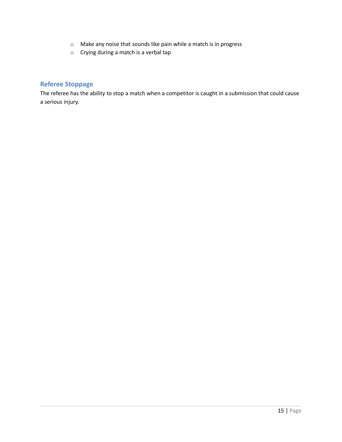- o Make any noise that sounds like pain while a match is in progress
- o Crying during a match is a verbal tap

#### **Referee Stoppage**

The referee has the ability to stop a match when a competitor is caught in a submission that could cause a serious injury.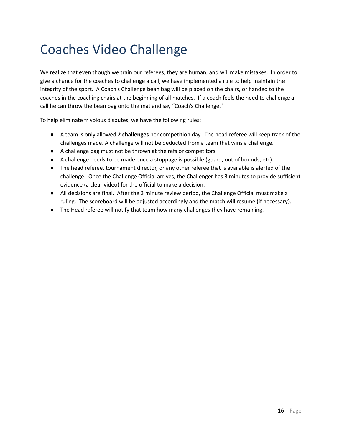### Coaches Video Challenge

We realize that even though we train our referees, they are human, and will make mistakes. In order to give a chance for the coaches to challenge a call, we have implemented a rule to help maintain the integrity of the sport. A Coach's Challenge bean bag will be placed on the chairs, or handed to the coaches in the coaching chairs at the beginning of all matches. If a coach feels the need to challenge a call he can throw the bean bag onto the mat and say "Coach's Challenge."

To help eliminate frivolous disputes, we have the following rules:

- A team is only allowed **2 challenges** per competition day. The head referee will keep track of the challenges made. A challenge will not be deducted from a team that wins a challenge.
- A challenge bag must not be thrown at the refs or competitors
- A challenge needs to be made once a stoppage is possible (guard, out of bounds, etc).
- The head referee, tournament director, or any other referee that is available is alerted of the challenge. Once the Challenge Official arrives, the Challenger has 3 minutes to provide sufficient evidence (a clear video) for the official to make a decision.
- All decisions are final. After the 3 minute review period, the Challenge Official must make a ruling. The scoreboard will be adjusted accordingly and the match will resume (if necessary).
- The Head referee will notify that team how many challenges they have remaining.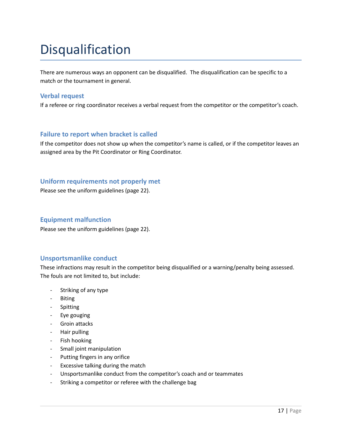### Disqualification

There are numerous ways an opponent can be disqualified. The disqualification can be specific to a match or the tournament in general.

#### **Verbal request**

If a referee or ring coordinator receives a verbal request from the competitor or the competitor's coach.

#### **Failure to report when bracket is called**

If the competitor does not show up when the competitor's name is called, or if the competitor leaves an assigned area by the Pit Coordinator or Ring Coordinator.

#### **Uniform requirements not properly met**

Please see the uniform guidelines (page 22).

#### **Equipment malfunction**

Please see the uniform guidelines (page 22).

#### **Unsportsmanlike conduct**

These infractions may result in the competitor being disqualified or a warning/penalty being assessed. The fouls are not limited to, but include:

- Striking of any type
- Biting
- Spitting
- Eye gouging
- Groin attacks
- Hair pulling
- Fish hooking
- Small joint manipulation
- Putting fingers in any orifice
- Excessive talking during the match
- Unsportsmanlike conduct from the competitor's coach and or teammates
- Striking a competitor or referee with the challenge bag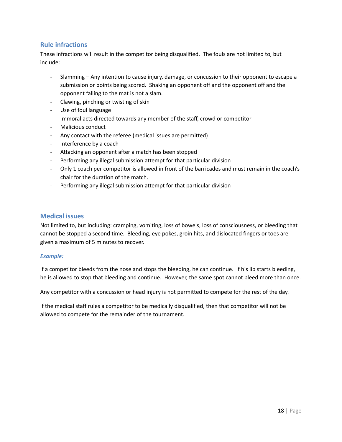#### **Rule infractions**

These infractions will result in the competitor being disqualified. The fouls are not limited to, but include:

- Slamming Any intention to cause injury, damage, or concussion to their opponent to escape a submission or points being scored. Shaking an opponent off and the opponent off and the opponent falling to the mat is not a slam.
- Clawing, pinching or twisting of skin
- Use of foul language
- Immoral acts directed towards any member of the staff, crowd or competitor
- Malicious conduct
- Any contact with the referee (medical issues are permitted)
- Interference by a coach
- Attacking an opponent after a match has been stopped
- Performing any illegal submission attempt for that particular division
- Only 1 coach per competitor is allowed in front of the barricades and must remain in the coach's chair for the duration of the match.
- Performing any illegal submission attempt for that particular division

#### **Medical issues**

Not limited to, but including: cramping, vomiting, loss of bowels, loss of consciousness, or bleeding that cannot be stopped a second time. Bleeding, eye pokes, groin hits, and dislocated fingers or toes are given a maximum of 5 minutes to recover.

#### *Example:*

If a competitor bleeds from the nose and stops the bleeding, he can continue. If his lip starts bleeding, he is allowed to stop that bleeding and continue. However, the same spot cannot bleed more than once.

Any competitor with a concussion or head injury is not permitted to compete for the rest of the day.

If the medical staff rules a competitor to be medically disqualified, then that competitor will not be allowed to compete for the remainder of the tournament.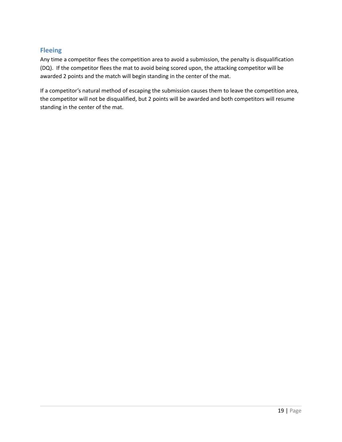#### **Fleeing**

Any time a competitor flees the competition area to avoid a submission, the penalty is disqualification (DQ). If the competitor flees the mat to avoid being scored upon, the attacking competitor will be awarded 2 points and the match will begin standing in the center of the mat.

If a competitor's natural method of escaping the submission causes them to leave the competition area, the competitor will not be disqualified, but 2 points will be awarded and both competitors will resume standing in the center of the mat.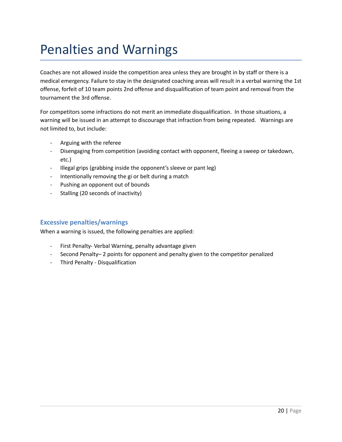### Penalties and Warnings

Coaches are not allowed inside the competition area unless they are brought in by staff or there is a medical emergency. Failure to stay in the designated coaching areas will result in a verbal warning the 1st offense, forfeit of 10 team points 2nd offense and disqualification of team point and removal from the tournament the 3rd offense.

For competitors some infractions do not merit an immediate disqualification. In those situations, a warning will be issued in an attempt to discourage that infraction from being repeated. Warnings are not limited to, but include:

- Arguing with the referee
- Disengaging from competition (avoiding contact with opponent, fleeing a sweep or takedown, etc.)
- Illegal grips (grabbing inside the opponent's sleeve or pant leg)
- Intentionally removing the gi or belt during a match
- Pushing an opponent out of bounds
- Stalling (20 seconds of inactivity)

#### **Excessive penalties/warnings**

When a warning is issued, the following penalties are applied:

- First Penalty- Verbal Warning, penalty advantage given
- Second Penalty– 2 points for opponent and penalty given to the competitor penalized
- Third Penalty Disqualification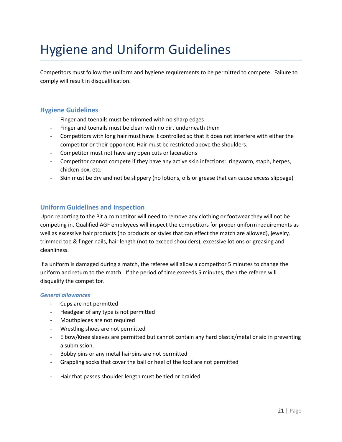# Hygiene and Uniform Guidelines

Competitors must follow the uniform and hygiene requirements to be permitted to compete. Failure to comply will result in disqualification.

#### **Hygiene Guidelines**

- Finger and toenails must be trimmed with no sharp edges
- Finger and toenails must be clean with no dirt underneath them
- Competitors with long hair must have it controlled so that it does not interfere with either the competitor or their opponent. Hair must be restricted above the shoulders.
- Competitor must not have any open cuts or lacerations
- Competitor cannot compete if they have any active skin infections: ringworm, staph, herpes, chicken pox, etc.
- Skin must be dry and not be slippery (no lotions, oils or grease that can cause excess slippage)

#### **Uniform Guidelines and Inspection**

Upon reporting to the Pit a competitor will need to remove any clothing or footwear they will not be competing in. Qualified AGF employees will inspect the competitors for proper uniform requirements as well as excessive hair products (no products or styles that can effect the match are allowed), jewelry, trimmed toe & finger nails, hair length (not to exceed shoulders), excessive lotions or greasing and cleanliness.

If a uniform is damaged during a match, the referee will allow a competitor 5 minutes to change the uniform and return to the match. If the period of time exceeds 5 minutes, then the referee will disqualify the competitor.

#### *General allowances*

- Cups are not permitted
- Headgear of any type is not permitted
- Mouthpieces are not required
- Wrestling shoes are not permitted
- Elbow/Knee sleeves are permitted but cannot contain any hard plastic/metal or aid in preventing a submission.
- Bobby pins or any metal hairpins are not permitted
- Grappling socks that cover the ball or heel of the foot are not permitted
- Hair that passes shoulder length must be tied or braided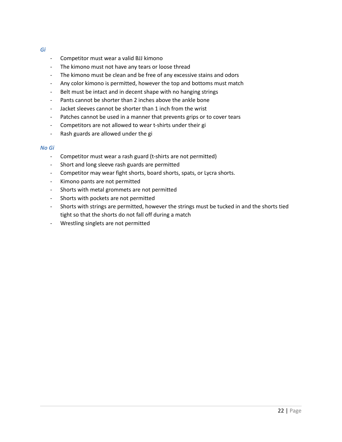#### *Gi*

- Competitor must wear a valid BJJ kimono
- The kimono must not have any tears or loose thread
- The kimono must be clean and be free of any excessive stains and odors
- Any color kimono is permitted, however the top and bottoms must match
- Belt must be intact and in decent shape with no hanging strings
- Pants cannot be shorter than 2 inches above the ankle bone
- Jacket sleeves cannot be shorter than 1 inch from the wrist
- Patches cannot be used in a manner that prevents grips or to cover tears
- Competitors are not allowed to wear t-shirts under their gi
- Rash guards are allowed under the gi

#### *No Gi*

- Competitor must wear a rash guard (t-shirts are not permitted)
- Short and long sleeve rash guards are permitted
- Competitor may wear fight shorts, board shorts, spats, or Lycra shorts.
- Kimono pants are not permitted
- Shorts with metal grommets are not permitted
- Shorts with pockets are not permitted
- Shorts with strings are permitted, however the strings must be tucked in and the shorts tied tight so that the shorts do not fall off during a match
- Wrestling singlets are not permitted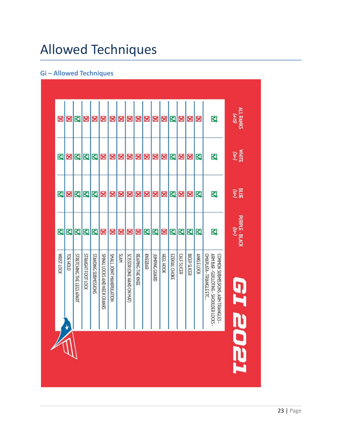# Allowed Techniques

### **Gi – Allowed Techniques**

| WHITE<br>WHITE<br>Δ<br>Q<br>℧<br>⊻<br>Δ<br>⊠<br>X<br>×<br>X<br>X<br>×<br>⊻<br>×<br>×<br>×<br>×<br>×<br>×<br><b>RLUE</b><br>K<br>₫<br>Q<br>$\overline{\mathsf{S}}$<br>K<br>Q<br>×<br>×<br>X<br>×<br>X<br>X<br>X<br>Σ<br>×<br>X<br>×<br>×<br>$\overline{\mathbf{z}}$<br>⊻<br>₫<br>Q<br>$\overline{\mathsf{K}}$<br>K<br>Ю<br>Σ<br>K<br>X<br>Q<br>K<br>K<br>×<br>X<br>X<br>×<br>×<br><b>SLAM</b><br>STRAIGHT FOOT LOCK<br>STANDING SUBMISSIONS<br>SPINAL LOCKS AND NECK CRANKS<br><b>SMALL JOINT MANIPULATION</b><br><b>BICEP SLICER</b><br><b>ANKLE LOCK</b><br>ARM BAR - GUILLOTINE - SHOULDER LOCKS<br><b>MRIST LOCK</b><br>TOE HOLD<br>STRETCHING THE LEGS APART<br>SCISSOR (ONE HAND ON MAT)<br>REAPING THE KNEE<br>KNEEBAR<br>HEEL HOOK<br>OMAPLATA - TRIANGLE ETC.<br><b>JUMPING GUARD</b><br>EZEKIAL CHOKE<br><b>CALF SLICER</b><br>COMMON SUBMISSIONS: ARM TRIANGLES -<br>$\star$ | × | × | ⊠ | × | × | × | X | × | × | X | × | × | × | ⊠ | × | × | × | K | ALRANKS |
|----------------------------------------------------------------------------------------------------------------------------------------------------------------------------------------------------------------------------------------------------------------------------------------------------------------------------------------------------------------------------------------------------------------------------------------------------------------------------------------------------------------------------------------------------------------------------------------------------------------------------------------------------------------------------------------------------------------------------------------------------------------------------------------------------------------------------------------------------------------------------------------|---|---|---|---|---|---|---|---|---|---|---|---|---|---|---|---|---|---|---------|
| PURPLE - BLACK<br>PURPLE - BLACK<br><b>DTT</b>                                                                                                                                                                                                                                                                                                                                                                                                                                                                                                                                                                                                                                                                                                                                                                                                                                         |   |   |   |   |   |   |   |   |   |   |   |   |   |   |   |   |   |   |         |
|                                                                                                                                                                                                                                                                                                                                                                                                                                                                                                                                                                                                                                                                                                                                                                                                                                                                                        |   |   |   |   |   |   |   |   |   |   |   |   |   |   |   |   |   |   |         |
|                                                                                                                                                                                                                                                                                                                                                                                                                                                                                                                                                                                                                                                                                                                                                                                                                                                                                        |   |   |   |   |   |   |   |   |   |   |   |   |   |   |   |   |   |   |         |
|                                                                                                                                                                                                                                                                                                                                                                                                                                                                                                                                                                                                                                                                                                                                                                                                                                                                                        |   |   |   |   |   |   |   |   |   |   |   |   |   |   |   |   |   |   |         |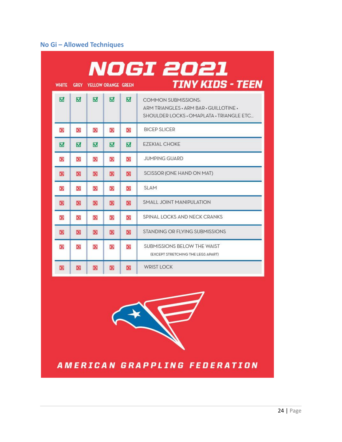### **No Gi – Allowed Techniques**

|              |                |                            |                         |   | NOGI 2021                                                                                                         |
|--------------|----------------|----------------------------|-------------------------|---|-------------------------------------------------------------------------------------------------------------------|
| <b>WHITE</b> | <b>GREY</b>    | <b>YELLOW ORANGE GREEN</b> |                         |   | <b>TINY KIDS - TEEN</b>                                                                                           |
| M            | $\overline{M}$ | $\overline{M}$             | $\overline{\mathbf{v}}$ | M | <b>COMMON SUBMISSIONS:</b><br>ARM TRIANGLES . ARM BAR . GUILLOTINE .<br>SHOULDER LOCKS • OMAPLATA • TRIANGLE ETC. |
| ×            | ×              | ×                          | X                       | 図 | <b>BICEP SLICER</b>                                                                                               |
| ☑            | M              | M                          | M                       | ☑ | <b>EZEKIAL CHOKE</b>                                                                                              |
| ×            | ×              | ×                          | X                       | × | <b>JUMPING GUARD</b>                                                                                              |
| X            | 図              | X                          | X                       | X | SCISSOR (ONE HAND ON MAT)                                                                                         |
| ×            | ×              | ×                          | ×                       | × | <b>SLAM</b>                                                                                                       |
| ×            | ×              | X                          | X                       | × | SMALL JOINT MANIPULATION                                                                                          |
| ×            | X              | ×                          | X                       | × | SPINAL LOCKS AND NECK CRANKS                                                                                      |
| ×            | K              | ×                          | $\infty$                | X | STANDING OR FLYING SUBMISSIONS                                                                                    |
| ×            | ×              | X                          | X                       | × | SUBMISSIONS BELOW THE WAIST<br>(EXCEPT STRETCHING THE LEGS APART)                                                 |
| X            | X              | X                          | ×                       | × | <b>WRIST LOCK</b>                                                                                                 |

AMERICAN GRAPPLING FEDERATION